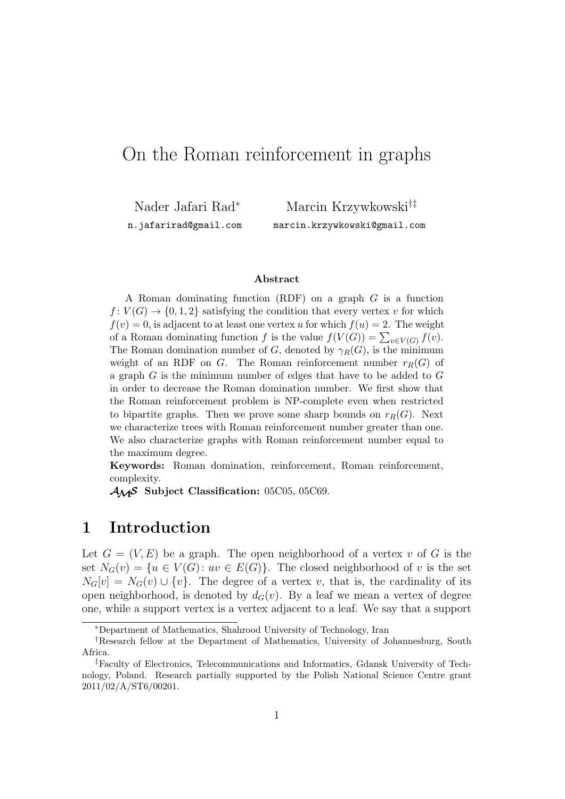# On the Roman reinforcement in graphs

Nader Jafari Rad*<sup>∗</sup>* n.jafarirad@gmail.com

Marcin Krzywkowski*†‡* marcin.krzywkowski@gmail.com

#### **Abstract**

A Roman dominating function (RDF) on a graph *G* is a function  $f: V(G) \to \{0, 1, 2\}$  satisfying the condition that every vertex *v* for which  $f(v) = 0$ , is adjacent to at least one vertex *u* for which  $f(u) = 2$ . The weight of a Roman dominating function *f* is the value  $f(V(G)) = \sum_{v \in V(G)} f(v)$ . The Roman domination number of *G*, denoted by  $\gamma_R(G)$ , is the minimum weight of an RDF on *G*. The Roman reinforcement number  $r_R(G)$  of a graph *G* is the minimum number of edges that have to be added to *G* in order to decrease the Roman domination number. We first show that the Roman reinforcement problem is NP-complete even when restricted to bipartite graphs. Then we prove some sharp bounds on  $r_R(G)$ . Next we characterize trees with Roman reinforcement number greater than one. We also characterize graphs with Roman reinforcement number equal to the maximum degree.

**Keywords:** Roman domination, reinforcement, Roman reinforcement, complexity.

*AMS* **Subject Classification:** 05C05, 05C69.

## **1 Introduction**

Let  $G = (V, E)$  be a graph. The open neighborhood of a vertex *v* of G is the set  $N_G(v) = \{u \in V(G): uv \in E(G)\}\$ . The closed neighborhood of *v* is the set  $N_G[v] = N_G(v) \cup \{v\}$ . The degree of a vertex *v*, that is, the cardinality of its open neighborhood, is denoted by  $d_G(v)$ . By a leaf we mean a vertex of degree one, while a support vertex is a vertex adjacent to a leaf. We say that a support

*<sup>∗</sup>*Department of Mathematics, Shahrood University of Technology, Iran

*<sup>†</sup>*Research fellow at the Department of Mathematics, University of Johannesburg, South Africa.

*<sup>‡</sup>*Faculty of Electronics, Telecommunications and Informatics, Gdansk University of Technology, Poland. Research partially supported by the Polish National Science Centre grant 2011/02/A/ST6/00201.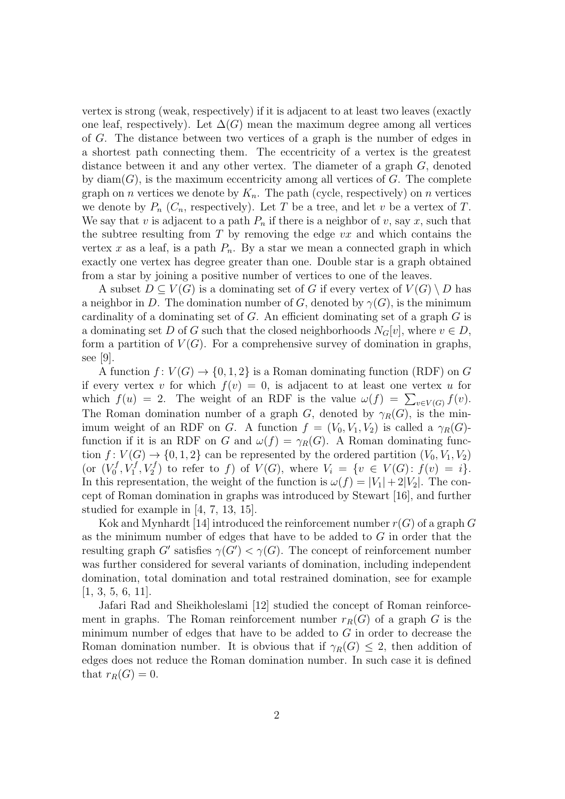vertex is strong (weak, respectively) if it is adjacent to at least two leaves (exactly one leaf, respectively). Let  $\Delta(G)$  mean the maximum degree among all vertices of *G*. The distance between two vertices of a graph is the number of edges in a shortest path connecting them. The eccentricity of a vertex is the greatest distance between it and any other vertex. The diameter of a graph *G*, denoted by  $diam(G)$ , is the maximum eccentricity among all vertices of  $G$ . The complete graph on *n* vertices we denote by  $K_n$ . The path (cycle, respectively) on *n* vertices we denote by  $P_n$  ( $C_n$ , respectively). Let  $T$  be a tree, and let  $v$  be a vertex of  $T$ . We say that *v* is adjacent to a path  $P_n$  if there is a neighbor of *v*, say *x*, such that the subtree resulting from *T* by removing the edge *vx* and which contains the vertex x as a leaf, is a path  $P_n$ . By a star we mean a connected graph in which exactly one vertex has degree greater than one. Double star is a graph obtained from a star by joining a positive number of vertices to one of the leaves.

A subset  $D \subset V(G)$  is a dominating set of G if every vertex of  $V(G) \setminus D$  has a neighbor in *D*. The domination number of *G*, denoted by  $\gamma(G)$ , is the minimum cardinality of a dominating set of *G*. An efficient dominating set of a graph *G* is a dominating set *D* of *G* such that the closed neighborhoods  $N_G[v]$ , where  $v \in D$ , form a partition of  $V(G)$ . For a comprehensive survey of domination in graphs, see [9].

A function  $f: V(G) \to \{0, 1, 2\}$  is a Roman dominating function (RDF) on *G* if every vertex *v* for which  $f(v) = 0$ , is adjacent to at least one vertex *u* for which  $f(u) = 2$ . The weight of an RDF is the value  $\omega(f) = \sum_{v \in V(G)} f(v)$ . The Roman domination number of a graph *G*, denoted by  $\gamma_R(G)$ , is the minimum weight of an RDF on *G*. A function  $f = (V_0, V_1, V_2)$  is called a  $\gamma_R(G)$ function if it is an RDF on *G* and  $\omega(f) = \gamma_B(G)$ . A Roman dominating function  $f: V(G) \to \{0, 1, 2\}$  can be represented by the ordered partition  $(V_0, V_1, V_2)$ (or  $(V_0^f)$  $V_0^f, V_1^f, V_2^f$  to refer to *f*) of  $V(G)$ , where  $V_i = \{v \in V(G): f(v) = i\}.$ In this representation, the weight of the function is  $\omega(f) = |V_1| + 2|V_2|$ . The concept of Roman domination in graphs was introduced by Stewart [16], and further studied for example in [4, 7, 13, 15].

Kok and Mynhardt [14] introduced the reinforcement number  $r(G)$  of a graph  $G$ as the minimum number of edges that have to be added to *G* in order that the resulting graph *G<sup>'</sup>* satisfies  $\gamma(G') < \gamma(G)$ . The concept of reinforcement number was further considered for several variants of domination, including independent domination, total domination and total restrained domination, see for example  $[1, 3, 5, 6, 11].$ 

Jafari Rad and Sheikholeslami [12] studied the concept of Roman reinforcement in graphs. The Roman reinforcement number  $r_R(G)$  of a graph *G* is the minimum number of edges that have to be added to *G* in order to decrease the Roman domination number. It is obvious that if  $\gamma_R(G) \leq 2$ , then addition of edges does not reduce the Roman domination number. In such case it is defined that  $r_R(G) = 0$ .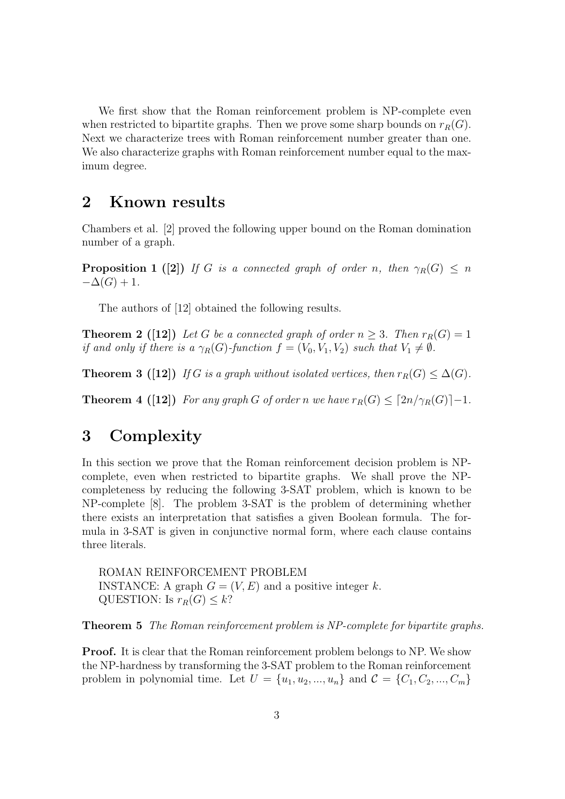We first show that the Roman reinforcement problem is NP-complete even when restricted to bipartite graphs. Then we prove some sharp bounds on  $r_R(G)$ . Next we characterize trees with Roman reinforcement number greater than one. We also characterize graphs with Roman reinforcement number equal to the maximum degree.

### **2 Known results**

Chambers et al. [2] proved the following upper bound on the Roman domination number of a graph.

**Proposition 1** ([2]) *If G is a connected graph of order n, then*  $\gamma_R(G) \leq n$  $-\Delta(G) + 1$ .

The authors of [12] obtained the following results.

**Theorem 2** ([12]) Let *G* be a connected graph of order  $n \geq 3$ . Then  $r_R(G) = 1$ *if and only if there is a*  $\gamma_R(G)$ -function  $f = (V_0, V_1, V_2)$  *such that*  $V_1 \neq \emptyset$ *.* 

**Theorem 3** ([12]) *If G* is a graph without isolated vertices, then  $r_R(G) \leq \Delta(G)$ *.* 

**Theorem 4 ([12])** For any graph *G* of order *n* we have  $r_R(G) \leq [2n/\gamma_R(G)]-1$ .

## **3 Complexity**

In this section we prove that the Roman reinforcement decision problem is NPcomplete, even when restricted to bipartite graphs. We shall prove the NPcompleteness by reducing the following 3-SAT problem, which is known to be NP-complete [8]. The problem 3-SAT is the problem of determining whether there exists an interpretation that satisfies a given Boolean formula. The formula in 3-SAT is given in conjunctive normal form, where each clause contains three literals.

ROMAN REINFORCEMENT PROBLEM INSTANCE: A graph  $G = (V, E)$  and a positive integer k. QUESTION: Is  $r_R(G) \leq k$ ?

**Theorem 5** *The Roman reinforcement problem is NP-complete for bipartite graphs.*

**Proof.** It is clear that the Roman reinforcement problem belongs to NP. We show the NP-hardness by transforming the 3-SAT problem to the Roman reinforcement problem in polynomial time. Let  $U = \{u_1, u_2, ..., u_n\}$  and  $C = \{C_1, C_2, ..., C_m\}$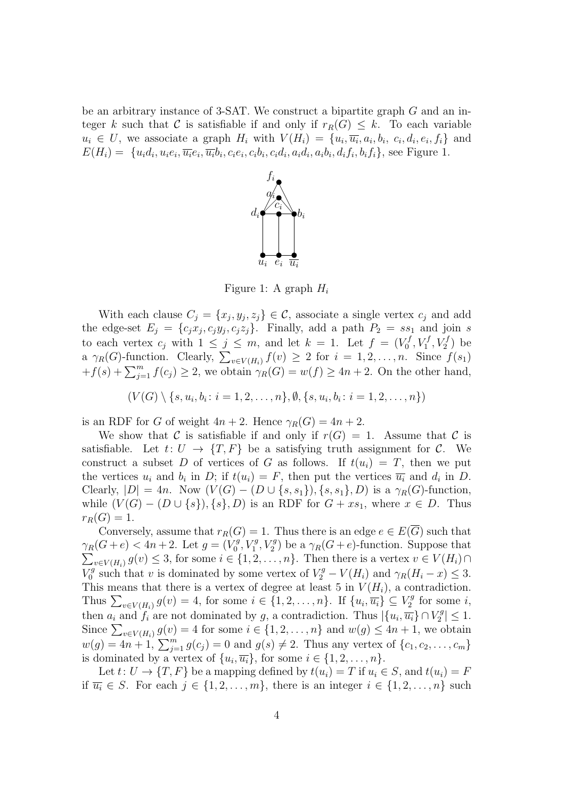be an arbitrary instance of 3-SAT. We construct a bipartite graph *G* and an integer *k* such that *C* is satisfiable if and only if  $r_R(G) \leq k$ . To each variable  $u_i \in U$ , we associate a graph  $H_i$  with  $V(H_i) = \{u_i, \overline{u_i}, a_i, b_i, c_i, d_i, e_i, f_i\}$  and  $E(H_i) = \{u_i d_i, u_i e_i, \overline{u_i} e_i, \overline{u_i} b_i, c_i e_i, c_i b_i, c_i d_i, a_i d_i, a_i b_i, d_i f_i, b_i f_i\}$ , see Figure 1.



Figure 1: A graph *H<sup>i</sup>*

With each clause  $C_j = \{x_j, y_j, z_j\} \in \mathcal{C}$ , associate a single vertex  $c_j$  and add the edge-set  $E_j = \{c_j x_j, c_j y_j, c_j z_j\}$ . Finally, add a path  $P_2 = s s_1$  and join *s* to each vertex  $c_j$  with  $1 \leq j \leq m$ , and let  $k = 1$ . Let  $f = (V_0^f)$  $V_0^f, V_1^f, V_2^f$ ) be a  $\gamma_R(G)$ -function. Clearly,  $\sum_{v \in V(H_i)} f(v) \geq 2$  for  $i = 1, 2, \ldots, n$ . Since  $f(s_1)$  $+f(s) + \sum_{j=1}^{m} f(c_j) \geq 2$ , we obtain  $\gamma_R(G) = w(f) \geq 4n + 2$ . On the other hand,

 $(V(G) \setminus \{s, u_i, b_i \colon i = 1, 2, \dots, n\}, \emptyset, \{s, u_i, b_i \colon i = 1, 2, \dots, n\})$ 

is an RDF for *G* of weight  $4n + 2$ . Hence  $\gamma_R(G) = 4n + 2$ .

We show that *C* is satisfiable if and only if  $r(G) = 1$ . Assume that *C* is satisfiable. Let  $t: U \rightarrow \{T, F\}$  be a satisfying truth assignment for C. We construct a subset *D* of vertices of *G* as follows. If  $t(u_i) = T$ , then we put the vertices  $u_i$  and  $b_i$  in  $D$ ; if  $t(u_i) = F$ , then put the vertices  $\overline{u_i}$  and  $d_i$  in  $D$ .  $\text{Clearly, } |D| = 4n. \text{ Now } (V(G) - (D \cup \{s, s_1\}), \{s, s_1\}, D) \text{ is a } \gamma_R(G) \text{-function},$ while  $(V(G) - (D \cup \{s\}), \{s\}, D)$  is an RDF for  $G + xs_1$ , where  $x \in D$ . Thus  $r_R(G) = 1$ .

Conversely, assume that  $r_R(G) = 1$ . Thus there is an edge  $e \in E(\overline{G})$  such that  $\gamma_R(G+e) < 4n+2$ *.* Let  $g = (V_0^g)$  $\gamma_0^g$ ,  $V_1^g$ ,  $V_2^g$ ) be a  $\gamma_R(G+e)$ -function. Suppose that  $\sum_{v \in V(H_i)} g(v) \leq 3$ , for some  $i \in \{1, 2, \ldots, n\}$ . Then there is a vertex  $v \in V(H_i) \cap$  $V_0^g$  $\frac{\partial^g}{\partial x^g}$  such that *v* is dominated by some vertex of  $V_2^g - V(H_i)$  and  $\gamma_R(H_i - x) \leq 3$ . This means that there is a vertex of degree at least 5 in  $V(H_i)$ , a contradiction. Thus  $\sum_{v \in V(H_i)} g(v) = 4$ , for some  $i \in \{1, 2, ..., n\}$ . If  $\{u_i, \overline{u_i}\} \subseteq V_2^g$  $i<sub>2</sub><sup>rg</sup>$  for some *i*, then  $a_i$  and  $f_i$  are not dominated by *g*, a contradiction. Thus  $|\{u_i, \overline{u_i}\} \cap V_2^g$  $|Z_2^g| \leq 1.$ Since  $\sum_{v \in V(H_i)} g(v) = 4$  for some  $i \in \{1, 2, \ldots, n\}$  and  $w(g) \le 4n + 1$ , we obtain  $w(g) = 4n + 1$ ,  $\sum_{j=1}^{m} g(c_j) = 0$  and  $g(s) \neq 2$ . Thus any vertex of  $\{c_1, c_2, \ldots, c_m\}$ is dominated by a vertex of  $\{u_i, \overline{u_i}\}\$ , for some  $i \in \{1, 2, \ldots, n\}$ .

Let  $t: U \to \{T, F\}$  be a mapping defined by  $t(u_i) = T$  if  $u_i \in S$ , and  $t(u_i) = F$ if  $\overline{u_i}$  ∈ *S*. For each  $j$  ∈ {1, 2, ..., *m*}, there is an integer  $i$  ∈ {1, 2, ..., *n*} such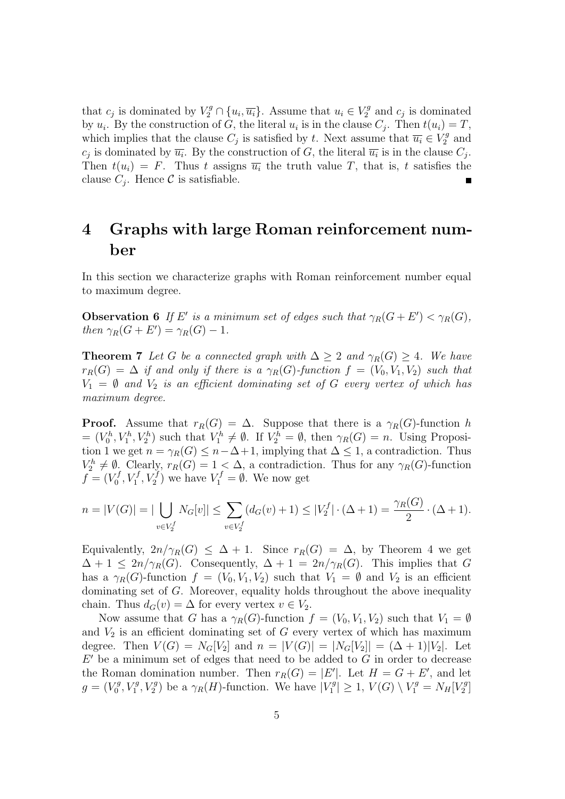that  $c_j$  is dominated by  $V_2^g \cap \{u_i, \overline{u_i}\}\$ . Assume that  $u_i \in V_2^g$  $\chi_2^g$  and  $c_j$  is dominated by  $u_i$ . By the construction of *G*, the literal  $u_i$  is in the clause  $C_j$ . Then  $t(u_i) = T$ , which implies that the clause  $C_j$  is satisfied by *t*. Next assume that  $\overline{u_i} \in V_2^g$  $\frac{q}{2}$  and  $c_j$  is dominated by  $\overline{u_i}$ . By the construction of *G*, the literal  $\overline{u_i}$  is in the clause  $C_j$ . Then  $t(u_i) = F$ . Thus *t* assigns  $\overline{u_i}$  the truth value *T*, that is, *t* satisfies the clause  $C_j$ . Hence  $\mathcal C$  is satisfiable.

## **4 Graphs with large Roman reinforcement number**

In this section we characterize graphs with Roman reinforcement number equal to maximum degree.

**Observation 6** *If*  $E'$  *is a minimum set of edges such that*  $\gamma_R(G + E') < \gamma_R(G)$ *, then*  $\gamma_R(G + E') = \gamma_R(G) - 1$ *.* 

**Theorem 7** *Let G be a connected graph with*  $\Delta \geq 2$  *and*  $\gamma_R(G) \geq 4$ *. We have*  $r_R(G) = \Delta$  *if and only if there is a*  $\gamma_R(G)$ *-function*  $f = (V_0, V_1, V_2)$  *such that*  $V_1 = \emptyset$  *and*  $V_2$  *is an efficient dominating set of G every vertex of which has maximum degree.*

**Proof.** Assume that  $r_R(G) = \Delta$ . Suppose that there is a  $\gamma_R(G)$ -function *h*  $= (V_0^h, V_1^h, V_2^h)$  such that  $V_1^h \neq \emptyset$ . If  $V_2^h = \emptyset$ , then  $\gamma_R(G) = n$ . Using Proposition 1 we get  $n = \gamma_R(G) \leq n - \Delta + 1$ , implying that  $\Delta \leq 1$ , a contradiction. Thus  $V_2^h \neq \emptyset$ . Clearly,  $r_R(G) = 1 \leq \Delta$ , a contradiction. Thus for any  $\gamma_R(G)$ -function  $f = (V_0^f)$  $V_0^f, V_1^f, V_2^f$  we have  $V_1^f = \emptyset$ . We now get

$$
n = |V(G)| = |\bigcup_{v \in V_2^f} N_G[v]| \le \sum_{v \in V_2^f} (d_G(v) + 1) \le |V_2^f| \cdot (\Delta + 1) = \frac{\gamma_R(G)}{2} \cdot (\Delta + 1).
$$

Equivalently,  $2n/\gamma_R(G) \leq \Delta + 1$ . Since  $r_R(G) = \Delta$ , by Theorem 4 we get  $\Delta + 1 \leq 2n/\gamma_R(G)$ . Consequently,  $\Delta + 1 = 2n/\gamma_R(G)$ . This implies that *G* has a  $\gamma_R(G)$ -function  $f = (V_0, V_1, V_2)$  such that  $V_1 = \emptyset$  and  $V_2$  is an efficient dominating set of *G*. Moreover, equality holds throughout the above inequality chain. Thus  $d_G(v) = \Delta$  for every vertex  $v \in V_2$ .

Now assume that *G* has a  $\gamma_R(G)$ -function  $f = (V_0, V_1, V_2)$  such that  $V_1 = \emptyset$ and  $V_2$  is an efficient dominating set of  $G$  every vertex of which has maximum degree. Then  $V(G) = N_G[V_2]$  and  $n = |V(G)| = |N_G[V_2]| = (\Delta + 1)|V_2|$ . Let *E ′* be a minimum set of edges that need to be added to *G* in order to decrease the Roman domination number. Then  $r_R(G) = |E'|$ . Let  $H = G + E'$ , and let  $g = (V_0^g)$  $V_0^g$ ,  $V_1^g$ ,  $V_2^g$ ) be a  $\gamma_R(H)$ -function. We have  $|V_1^g|$  $|Y_1^g| \geq 1$ ,  $V(G) \setminus V_1^g = N_H[V_2^g]$  $\binom{rg}{2}$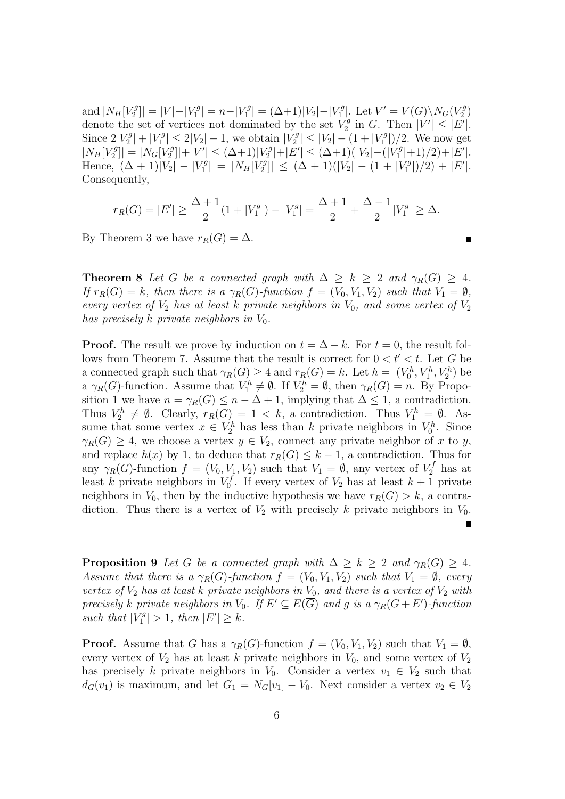and  $|N_H[V_2^g]$  $|V_2^g|$  =  $|V| - |V_1^g|$  $|Y_1^g| = n - |V_1^g|$  $|V_1^g| = (\Delta + 1)|V_2| - |V_1^g|$  $|V_1^g|$ . Let  $V' = V(G) \setminus N_G(V_2^g)$  $\binom{rg}{2}$ denote the set of vertices not dominated by the set  $V_2^g$  $V_2^g$  in *G*. Then  $|V'| \leq |E'|$ . Since  $2|V_2^g$  $|V_2^g| + |V_1^g|$  $|V_1^g| \leq 2|V_2| - 1$ , we obtain  $|V_2^g|$  $|V_2| \leq |V_2| - (1 + |V_1^g)$ 1 *|*)*/*2. We now get  $|N_H[V_2^g]$  $\left| \frac{q}{2} \right| \left| = \left| N_G \right| \right| \frac{q}{2}$  $|V'| \leq (\Delta+1)|V_2^g|$  $|Y_2^g| + |E'| \leq (\Delta+1)(|V_2| - (|V_1^g|))$  $\binom{7^g}{1}$  + 1)/2) + |*E'*|.  $Hence, \ (\Delta + 1)|V_2| - |V_1^g|$  $|N_H[V_2^g]| = |N_H[V_2^g]|$  $\left| \sum_{i=1}^{n} (X_i - Y_i)^2 \right| \leq (2\Delta + 1)(|V_2| - (1 + |V_1|^2))$  $\binom{rg}{1}/2 + |E'|$ . Consequently,

$$
r_R(G) = |E'| \ge \frac{\Delta + 1}{2}(1 + |V_1^g|) - |V_1^g| = \frac{\Delta + 1}{2} + \frac{\Delta - 1}{2}|V_1^g| \ge \Delta.
$$

By Theorem 3 we have  $r_R(G) = \Delta$ .

**Theorem 8** *Let G be a connected graph with*  $\Delta \geq k \geq 2$  *and*  $\gamma_R(G) \geq 4$ *. If*  $r_R(G) = k$ *, then there is a*  $\gamma_R(G)$ *-function*  $f = (V_0, V_1, V_2)$  *such that*  $V_1 = \emptyset$ *, every vertex of*  $V_2$  *has at least k private neighbors in*  $V_0$ *, and some vertex of*  $V_2$ *has precisely k private neighbors in*  $V_0$ *.* 

**Proof.** The result we prove by induction on  $t = \Delta - k$ . For  $t = 0$ , the result follows from Theorem 7. Assume that the result is correct for  $0 < t' < t$ . Let G be a connected graph such that  $\gamma_R(G) \geq 4$  and  $r_R(G) = k$ . Let  $h = (V_0^h, V_1^h, V_2^h)$  be a  $\gamma_R(G)$ -function. Assume that  $V_1^h \neq \emptyset$ . If  $V_2^h = \emptyset$ , then  $\gamma_R(G) = n$ . By Proposition 1 we have  $n = \gamma_R(G) \leq n - \Delta + 1$ , implying that  $\Delta \leq 1$ , a contradiction. Thus  $V_2^h \neq \emptyset$ . Clearly,  $r_R(G) = 1 < k$ , a contradiction. Thus  $V_1^h = \emptyset$ . Assume that some vertex  $x \in V_2^h$  has less than *k* private neighbors in  $V_0^h$ . Since  $\gamma_R(G) \geq 4$ , we choose a vertex  $y \in V_2$ , connect any private neighbor of *x* to *y*, and replace  $h(x)$  by 1, to deduce that  $r_R(G) \leq k-1$ , a contradiction. Thus for any *γ*<sub>*R*</sub>(*G*)-function  $f = (V_0, V_1, V_2)$  such that  $V_1 = \emptyset$ , any vertex of  $V_2^f$  has at least *k* private neighbors in  $V_0^f$  $\chi_0^f$ . If every vertex of  $V_2$  has at least  $k+1$  private neighbors in  $V_0$ , then by the inductive hypothesis we have  $r_R(G) > k$ , a contradiction. Thus there is a vertex of  $V_2$  with precisely k private neighbors in  $V_0$ .

**Proposition 9** *Let G be a connected graph with*  $\Delta \geq k \geq 2$  *and*  $\gamma_R(G) \geq 4$ *. Assume that there is a*  $\gamma_R(G)$ -function  $f = (V_0, V_1, V_2)$  *such that*  $V_1 = \emptyset$ *, every vertex of*  $V_2$  *has at least k private neighbors in*  $V_0$ *, and there is a vertex of*  $V_2$  *with precisely k private neighbors in*  $V_0$ *. If*  $E' \subseteq E(G)$  *and g is a*  $\gamma_R(G + E')$ -function *such that*  $|V_1^g$  $|E'| \geq k$ .<br>*i*  $|E'| \geq k$ .

Г

**Proof.** Assume that *G* has a  $\gamma_R(G)$ -function  $f = (V_0, V_1, V_2)$  such that  $V_1 = \emptyset$ , every vertex of  $V_2$  has at least *k* private neighbors in  $V_0$ , and some vertex of  $V_2$ has precisely *k* private neighbors in  $V_0$ . Consider a vertex  $v_1 \in V_2$  such that  $d_G(v_1)$  is maximum, and let  $G_1 = N_G[v_1] - V_0$ . Next consider a vertex  $v_2 \in V_2$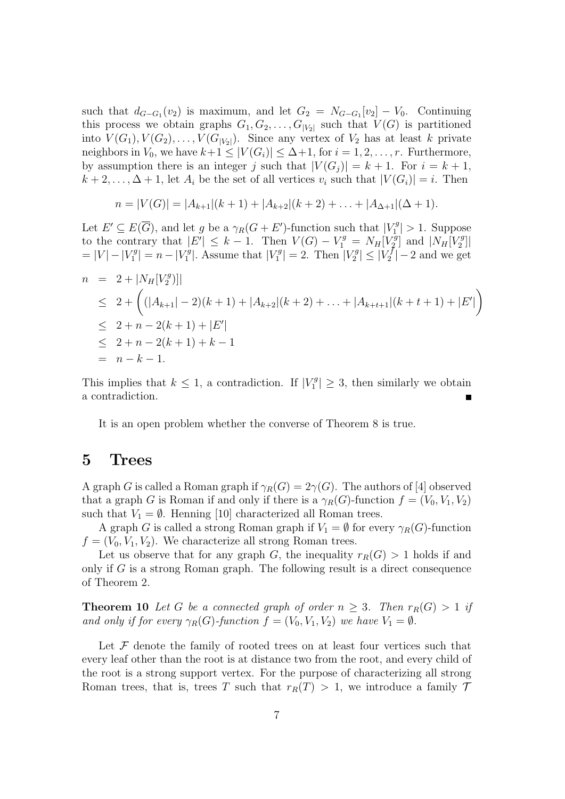such that  $d_{G-G_1}(v_2)$  is maximum, and let  $G_2 = N_{G-G_1}[v_2] - V_0$ . Continuing this process we obtain graphs  $G_1, G_2, \ldots, G_{|V_2|}$  such that  $V(G)$  is partitioned into  $V(G_1), V(G_2), \ldots, V(G_{|V_2|})$ . Since any vertex of  $V_2$  has at least *k* private neighbors in  $V_0$ , we have  $k+1 \leq |V(G_i)| \leq \Delta+1$ , for  $i = 1, 2, \ldots, r$ . Furthermore, by assumption there is an integer *j* such that  $|V(G_j)| = k + 1$ . For  $i = k + 1$ ,  $k+2,\ldots,\Delta+1$ , let  $A_i$  be the set of all vertices  $v_i$  such that  $|V(G_i)|=i$ . Then

$$
n = |V(G)| = |A_{k+1}|(k+1) + |A_{k+2}|(k+2) + \ldots + |A_{\Delta+1}|(\Delta+1).
$$

Let  $E' \subseteq E(\overline{G})$ , and let *g* be a  $\gamma_R(G + E')$ -function such that  $|V_1^g|$  $\binom{q}{1} > 1$ . Suppose to the contrary that  $|E'|\leq k-1$ . Then  $V(G) - V_1^g = N_H[V_2^g]$  $\left[\frac{q}{2}\right]$  and  $\left[N_H[V_2^g\right]$  $\binom{rg}{2}$  $= |V| - |V_1^g|$  $|V_1^g| = n - |V_1^g|$  $|V_1^g|$ . Assume that  $|V_1^g|$  $|V_1^g| = 2.$  Then  $|V_2^g|$  $|V_{2}^{g}| \leq |V_{2}^{f}|$  $\binom{7}{2}$  – 2 and we get

$$
n = 2 + |N_H[V_2^g)|
$$
  
\n
$$
\leq 2 + \left( (|A_{k+1}| - 2)(k+1) + |A_{k+2}|(k+2) + \ldots + |A_{k+t+1}|(k+t+1) + |E'|\right)
$$
  
\n
$$
\leq 2 + n - 2(k+1) + |E'|
$$
  
\n
$$
\leq 2 + n - 2(k+1) + k - 1
$$
  
\n
$$
= n - k - 1.
$$

This implies that  $k \leq 1$ , a contradiction. If  $|V_1^g|$  $\left| \frac{7g}{1} \right| \geq 3$ , then similarly we obtain a contradiction.

It is an open problem whether the converse of Theorem 8 is true.

## **5 Trees**

A graph *G* is called a Roman graph if  $\gamma_R(G) = 2\gamma(G)$ . The authors of [4] observed that a graph *G* is Roman if and only if there is a  $\gamma_R(G)$ -function  $f = (V_0, V_1, V_2)$ such that  $V_1 = \emptyset$ . Henning [10] characterized all Roman trees.

A graph *G* is called a strong Roman graph if  $V_1 = \emptyset$  for every  $\gamma_R(G)$ -function  $f = (V_0, V_1, V_2)$ . We characterize all strong Roman trees.

Let us observe that for any graph *G*, the inequality  $r_R(G) > 1$  holds if and only if *G* is a strong Roman graph. The following result is a direct consequence of Theorem 2.

**Theorem 10** Let G be a connected graph of order  $n \geq 3$ . Then  $r_R(G) > 1$  if *and only if for every*  $\gamma_R(G)$ *-function*  $f = (V_0, V_1, V_2)$  *we have*  $V_1 = \emptyset$ *.* 

Let  $\mathcal F$  denote the family of rooted trees on at least four vertices such that every leaf other than the root is at distance two from the root, and every child of the root is a strong support vertex. For the purpose of characterizing all strong Roman trees, that is, trees *T* such that  $r_R(T) > 1$ , we introduce a family  $\mathcal T$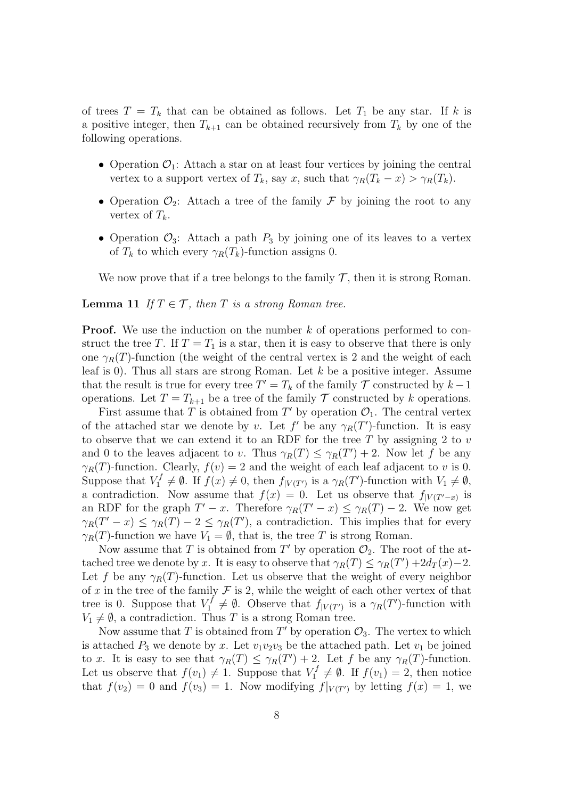of trees  $T = T_k$  that can be obtained as follows. Let  $T_1$  be any star. If k is a positive integer, then  $T_{k+1}$  can be obtained recursively from  $T_k$  by one of the following operations.

- Operation  $\mathcal{O}_1$ : Attach a star on at least four vertices by joining the central vertex to a support vertex of  $T_k$ , say *x*, such that  $\gamma_R(T_k - x) > \gamma_R(T_k)$ .
- Operation  $\mathcal{O}_2$ : Attach a tree of the family  $\mathcal F$  by joining the root to any vertex of  $T_k$ .
- Operation  $\mathcal{O}_3$ : Attach a path  $P_3$  by joining one of its leaves to a vertex of  $T_k$  to which every  $\gamma_R(T_k)$ -function assigns 0.

We now prove that if a tree belongs to the family  $\mathcal{T}$ , then it is strong Roman.

#### **Lemma 11** *If*  $T \in \mathcal{T}$ *, then T is a strong Roman tree.*

**Proof.** We use the induction on the number k of operations performed to construct the tree *T*. If  $T = T_1$  is a star, then it is easy to observe that there is only one  $\gamma_R(T)$ -function (the weight of the central vertex is 2 and the weight of each leaf is 0). Thus all stars are strong Roman. Let *k* be a positive integer. Assume that the result is true for every tree  $T' = T_k$  of the family  $\mathcal T$  constructed by  $k - 1$ operations. Let  $T = T_{k+1}$  be a tree of the family  $T$  constructed by *k* operations.

First assume that *T* is obtained from  $T'$  by operation  $\mathcal{O}_1$ . The central vertex of the attached star we denote by *v*. Let  $f'$  be any  $\gamma_R(T')$ -function. It is easy to observe that we can extend it to an RDF for the tree *T* by assigning 2 to *v* and 0 to the leaves adjacent to *v*. Thus  $\gamma_R(T) \leq \gamma_R(T') + 2$ . Now let *f* be any  $\gamma_R(T)$ -function. Clearly,  $f(v) = 2$  and the weight of each leaf adjacent to *v* is 0. Suppose that  $V_1^f \neq \emptyset$ . If  $f(x) \neq 0$ , then  $f_{|V(T')}$  is a  $\gamma_R(T')$ -function with  $V_1 \neq \emptyset$ , a contradiction. Now assume that  $f(x) = 0$ . Let us observe that  $f_{|V(T'-x)}$  is an RDF for the graph  $T' - x$ . Therefore  $\gamma_R(T' - x) \leq \gamma_R(T) - 2$ . We now get  $\gamma_R(T'-x) \leq \gamma_R(T) - 2 \leq \gamma_R(T')$ , a contradiction. This implies that for every *γ*<sup>*R*</sup>(*T*)-function we have *V*<sub>1</sub> =  $\emptyset$ , that is, the tree *T* is strong Roman.

Now assume that *T* is obtained from  $T'$  by operation  $\mathcal{O}_2$ . The root of the attached tree we denote by *x*. It is easy to observe that  $\gamma_R(T) \leq \gamma_R(T') + 2d_T(x) - 2$ . Let *f* be any  $\gamma_R(T)$ -function. Let us observe that the weight of every neighbor of  $x$  in the tree of the family  $\mathcal F$  is 2, while the weight of each other vertex of that tree is 0. Suppose that  $V_1^f \neq \emptyset$ . Observe that  $f_{|V(T')}$  is a  $\gamma_R(T')$ -function with  $V_1 \neq \emptyset$ , a contradiction. Thus *T* is a strong Roman tree.

Now assume that *T* is obtained from  $T'$  by operation  $\mathcal{O}_3$ . The vertex to which is attached  $P_3$  we denote by *x*. Let  $v_1v_2v_3$  be the attached path. Let  $v_1$  be joined to *x*. It is easy to see that  $\gamma_R(T) \leq \gamma_R(T') + 2$ . Let *f* be any  $\gamma_R(T)$ -function. Let us observe that  $f(v_1) \neq 1$ . Suppose that  $V_1^f \neq \emptyset$ . If  $f(v_1) = 2$ , then notice that  $f(v_2) = 0$  and  $f(v_3) = 1$ . Now modifying  $f|_{V(T')}$  by letting  $f(x) = 1$ , we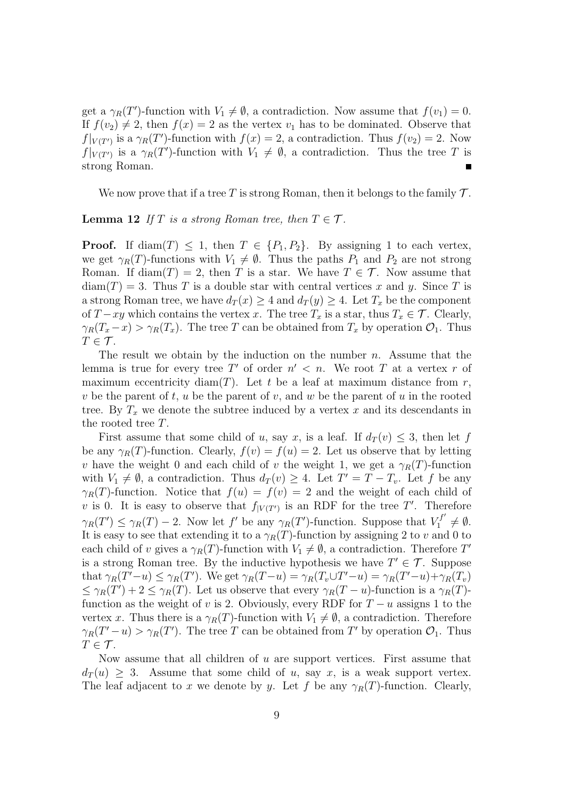get a  $\gamma_R(T')$ -function with  $V_1 \neq \emptyset$ , a contradiction. Now assume that  $f(v_1) = 0$ . If  $f(v_2) \neq 2$ , then  $f(x) = 2$  as the vertex  $v_1$  has to be dominated. Observe that  $f|_{V(T')}$  is a  $\gamma_R(T')$ -function with  $f(x) = 2$ , a contradiction. Thus  $f(v_2) = 2$ . Now  $f|_{V(T')}$  is a  $\gamma_R(T')$ -function with  $V_1 \neq \emptyset$ , a contradiction. Thus the tree *T* is strong Roman.

We now prove that if a tree *T* is strong Roman, then it belongs to the family *T* .

**Lemma 12** *If*  $T$  *is a strong Roman tree, then*  $T \in \mathcal{T}$ *.* 

**Proof.** If diam(*T*)  $\leq$  1, then  $T \in \{P_1, P_2\}$ . By assigning 1 to each vertex, we get  $\gamma_R(T)$ -functions with  $V_1 \neq \emptyset$ . Thus the paths  $P_1$  and  $P_2$  are not strong Roman. If diam(*T*) = 2, then *T* is a star. We have  $T \in \mathcal{T}$ . Now assume that  $diam(T) = 3$ . Thus *T* is a double star with central vertices *x* and *y*. Since *T* is a strong Roman tree, we have  $d_T(x) \geq 4$  and  $d_T(y) \geq 4$ . Let  $T_x$  be the component of *T* − *xy* which contains the vertex *x*. The tree  $T_x$  is a star, thus  $T_x \in \mathcal{T}$ . Clearly,  $\gamma_R(T_x - x) > \gamma_R(T_x)$ . The tree *T* can be obtained from  $T_x$  by operation  $\mathcal{O}_1$ . Thus  $T \in \mathcal{T}$ .

The result we obtain by the induction on the number *n*. Assume that the lemma is true for every tree T' of order  $n' < n$ . We root T at a vertex r of maximum eccentricity diam $(T)$ . Let *t* be a leaf at maximum distance from *r*, *v* be the parent of *t*, *u* be the parent of *v*, and *w* be the parent of *u* in the rooted tree. By  $T_x$  we denote the subtree induced by a vertex  $x$  and its descendants in the rooted tree *T*.

First assume that some child of *u*, say *x*, is a leaf. If  $d_T(v) \leq 3$ , then let *f* be any  $\gamma_R(T)$ -function. Clearly,  $f(v) = f(u) = 2$ . Let us observe that by letting *v* have the weight 0 and each child of *v* the weight 1, we get a  $\gamma_R(T)$ -function with  $V_1 \neq \emptyset$ , a contradiction. Thus  $d_T(v) \geq 4$ . Let  $T' = T - T_v$ . Let f be any *γ*<sub>*R*</sub>(*T*)-function. Notice that  $f(u) = f(v) = 2$  and the weight of each child of *v* is 0. It is easy to observe that  $f_{|V(T')}$  is an RDF for the tree *T'*. Therefore  $\gamma_R(T') \leq \gamma_R(T) - 2$ . Now let f' be any  $\gamma_R(T')$ -function. Suppose that  $V_1^{f'} \neq \emptyset$ . It is easy to see that extending it to a  $\gamma_R(T)$ -function by assigning 2 to *v* and 0 to each child of *v* gives a  $\gamma_R(T)$ -function with  $V_1 \neq \emptyset$ , a contradiction. Therefore  $T'$ is a strong Roman tree. By the inductive hypothesis we have  $T' \in \mathcal{T}$ . Suppose that  $\gamma_R(T'-u) \leq \gamma_R(T')$ . We get  $\gamma_R(T-u) = \gamma_R(T_v \cup T'-u) = \gamma_R(T'-u) + \gamma_R(T_v)$  $\leq \gamma_R(T') + 2 \leq \gamma_R(T)$ . Let us observe that every  $\gamma_R(T - u)$ -function is a  $\gamma_R(T)$ function as the weight of *v* is 2. Obviously, every RDF for  $T - u$  assigns 1 to the vertex *x*. Thus there is a  $\gamma_R(T)$ -function with  $V_1 \neq \emptyset$ , a contradiction. Therefore  $\gamma_R(T'-u) > \gamma_R(T')$ . The tree *T* can be obtained from *T*<sup>'</sup> by operation  $\mathcal{O}_1$ . Thus  $T \in \mathcal{T}$ .

Now assume that all children of *u* are support vertices. First assume that  $d_T(u) \geq 3$ . Assume that some child of *u*, say *x*, is a weak support vertex. The leaf adjacent to *x* we denote by *y*. Let *f* be any  $\gamma_R(T)$ -function. Clearly,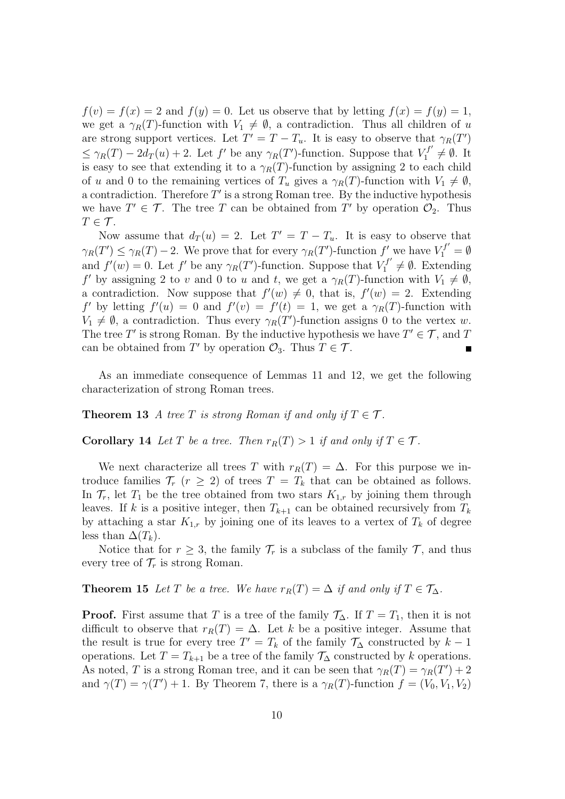$f(v) = f(x) = 2$  and  $f(y) = 0$ . Let us observe that by letting  $f(x) = f(y) = 1$ , we get a  $\gamma_R(T)$ -function with  $V_1 \neq \emptyset$ , a contradiction. Thus all children of *u* are strong support vertices. Let  $T' = T - T_u$ . It is easy to observe that  $\gamma_R(T')$  $\leq \gamma_R(T) - 2d_T(u) + 2$ . Let *f*' be any  $\gamma_R(T')$ -function. Suppose that  $V_1^{f'} \neq \emptyset$ . It is easy to see that extending it to a  $\gamma_R(T)$ -function by assigning 2 to each child of *u* and 0 to the remaining vertices of  $T_u$  gives a  $\gamma_R(T)$ -function with  $V_1 \neq \emptyset$ , a contradiction. Therefore *T ′* is a strong Roman tree. By the inductive hypothesis we have  $T' \in \mathcal{T}$ . The tree *T* can be obtained from *T'* by operation  $\mathcal{O}_2$ . Thus  $T \in \mathcal{T}$ .

Now assume that  $d_T(u) = 2$ . Let  $T' = T - T_u$ . It is easy to observe that  $\gamma_R(T') \leq \gamma_R(T) - 2$ . We prove that for every  $\gamma_R(T')$ -function  $f'$  we have  $V_1^{f'} = \emptyset$ and  $f'(w) = 0$ . Let  $f'$  be any  $\gamma_R(T')$ -function. Suppose that  $V_1^{f'} \neq \emptyset$ . Extending *f <i>f v* by assigning 2 to *v* and 0 to *u* and *t*, we get a  $\gamma_R(T)$ -function with  $V_1 \neq \emptyset$ , a contradiction. Now suppose that  $f'(w) \neq 0$ , that is,  $f'(w) = 2$ . Extending *f <i>f*(*v*) = 0 and  $f'(v) = f'(t) = 1$ , we get a  $\gamma_R(T)$ -function with  $V_1 \neq \emptyset$ , a contradiction. Thus every  $\gamma_R(T')$ -function assigns 0 to the vertex *w*. The tree  $T'$  is strong Roman. By the inductive hypothesis we have  $T' \in \mathcal{T}$ , and  $T$ can be obtained from *T'* by operation  $\mathcal{O}_3$ . Thus  $T \in \mathcal{T}$ .

As an immediate consequence of Lemmas 11 and 12, we get the following characterization of strong Roman trees.

**Theorem 13** *A tree T is strong Roman if and only if*  $T \in \mathcal{T}$ *.* 

**Corollary 14** *Let*  $T$  *be a tree. Then*  $r_R(T) > 1$  *if and only if*  $T \in \mathcal{T}$ *.* 

We next characterize all trees *T* with  $r_R(T) = \Delta$ . For this purpose we introduce families  $\mathcal{T}_r$  ( $r \geq 2$ ) of trees  $T = T_k$  that can be obtained as follows. In  $\mathcal{T}_r$ , let  $T_1$  be the tree obtained from two stars  $K_{1,r}$  by joining them through leaves. If *k* is a positive integer, then  $T_{k+1}$  can be obtained recursively from  $T_k$ by attaching a star  $K_{1,r}$  by joining one of its leaves to a vertex of  $T_k$  of degree less than  $\Delta(T_k)$ .

Notice that for  $r \geq 3$ , the family  $\mathcal{T}_r$  is a subclass of the family  $\mathcal{T}_r$ , and thus every tree of  $\mathcal{T}_r$  is strong Roman.

**Theorem 15** *Let T be a tree. We have*  $r_R(T) = \Delta$  *if and only if*  $T \in \mathcal{T}_{\Delta}$ *.* 

**Proof.** First assume that *T* is a tree of the family  $\mathcal{T}_{\Delta}$ . If  $T = T_1$ , then it is not difficult to observe that  $r_R(T) = \Delta$ . Let *k* be a positive integer. Assume that the result is true for every tree  $T' = T_k$  of the family  $\mathcal{T}_{\Delta}$  constructed by  $k - 1$ operations. Let  $T = T_{k+1}$  be a tree of the family  $\mathcal{T}_{\Delta}$  constructed by *k* operations. As noted, *T* is a strong Roman tree, and it can be seen that  $\gamma_R(T) = \gamma_R(T') + 2$ and  $\gamma(T) = \gamma(T') + 1$ . By Theorem 7, there is a  $\gamma_R(T)$ -function  $f = (V_0, V_1, V_2)$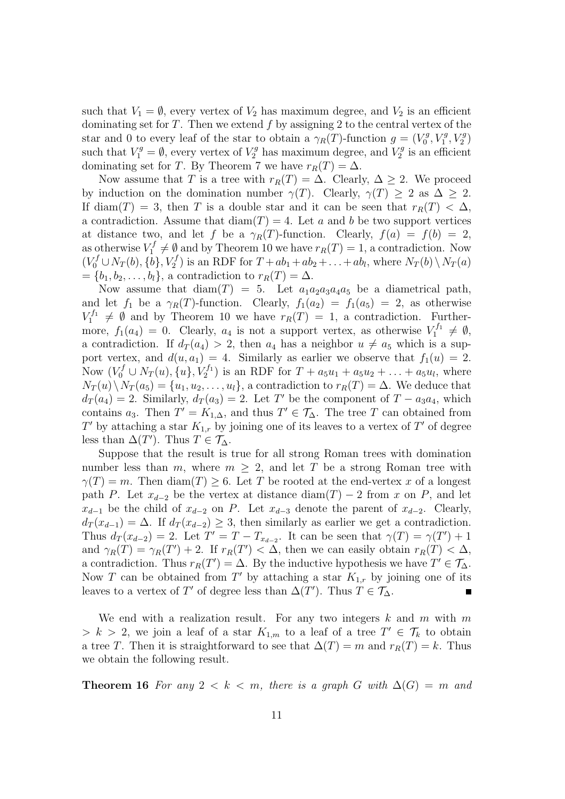such that  $V_1 = \emptyset$ , every vertex of  $V_2$  has maximum degree, and  $V_2$  is an efficient dominating set for *T*. Then we extend *f* by assigning 2 to the central vertex of the star and 0 to every leaf of the star to obtain a  $\gamma_R(T)$ -function  $g = (V_0^g)$  $V_0^g, V_1^g, V_2^g$ such that  $V_1^g = \emptyset$ , every vertex of  $V_2^g$  has maximum degree, and  $V_2^g$  $\binom{q}{2}$  is an efficient dominating set for *T*. By Theorem 7 we have  $r_R(T) = \Delta$ .

Now assume that *T* is a tree with  $r_R(T) = \Delta$ . Clearly,  $\Delta \geq 2$ . We proceed by induction on the domination number  $\gamma(T)$ . Clearly,  $\gamma(T) > 2$  as  $\Delta > 2$ . If diam(*T*) = 3, then *T* is a double star and it can be seen that  $r_R(T) < \Delta$ , a contradiction. Assume that  $\text{diam}(T) = 4$ . Let *a* and *b* be two support vertices at distance two, and let *f* be a  $\gamma_R(T)$ -function. Clearly,  $f(a) = f(b) = 2$ , as otherwise  $V_1^f \neq \emptyset$  and by Theorem 10 we have  $r_R(T) = 1$ , a contradiction. Now  $(V_0^f \cup N_T(b), \{\tilde{b}\}, V_2^f)$  is an RDF for  $T + ab_1 + ab_2 + \ldots + ab_l$ , where  $N_T(b) \setminus N_T(a)$  $= \{b_1, b_2, \ldots, b_l\},$  a contradiction to  $r_R(T) = \Delta$ .

Now assume that  $\text{diam}(T) = 5$ . Let  $a_1a_2a_3a_4a_5$  be a diametrical path, and let  $f_1$  be a  $\gamma_R(T)$ -function. Clearly,  $f_1(a_2) = f_1(a_5) = 2$ , as otherwise  $V_1^{f_1} \neq \emptyset$  and by Theorem 10 we have  $r_R(T) = 1$ , a contradiction. Furthermore,  $f_1(a_4) = 0$ . Clearly,  $a_4$  is not a support vertex, as otherwise  $V_1^{f_1} \neq \emptyset$ , a contradiction. If  $d_T(a_4) > 2$ , then  $a_4$  has a neighbor  $u \neq a_5$  which is a support vertex, and  $d(u, a_1) = 4$ . Similarly as earlier we observe that  $f_1(u) = 2$ . Now  $(V_0^f \cup N_T(u), \{u\}, V_2^{f_1})$  is an RDF for  $T + a_5u_1 + a_5u_2 + ... + a_5u_l$ , where  $N_T(u) \setminus N_T(a_5) = \{u_1, u_2, \ldots, u_l\}$ , a contradiction to  $r_R(T) = \Delta$ . We deduce that  $d_T(a_4) = 2$ . Similarly,  $d_T(a_3) = 2$ . Let *T*<sup>'</sup> be the component of *T − a*<sub>3</sub>*a*<sub>4</sub>, which contains  $a_3$ . Then  $T' = K_{1,\Delta}$ , and thus  $T' \in \mathcal{T}_{\Delta}$ . The tree *T* can obtained from *T*<sup>*<i>T*</sup> by attaching a star  $K_{1,r}$  by joining one of its leaves to a vertex of *T*<sup>*'*</sup> of degree</sup> less than  $\Delta(T')$ . Thus  $T \in \mathcal{T}_{\Delta}$ .

Suppose that the result is true for all strong Roman trees with domination number less than *m*, where  $m \geq 2$ , and let *T* be a strong Roman tree with  $\gamma(T) = m$ . Then diam(*T*)  $\geq 6$ . Let *T* be rooted at the end-vertex *x* of a longest path *P*. Let  $x_{d-2}$  be the vertex at distance diam(*T*) – 2 from *x* on *P*, and let *x*<sup>*d*−1</sup> be the child of *x*<sup>*d*−2</sup> on *P*. Let *x*<sup>*d*−3</sup> denote the parent of *x*<sup>*d*−2</sub>. Clearly,</sup>  $d_T(x_{d-1}) = \Delta$ . If  $d_T(x_{d-2}) \geq 3$ , then similarly as earlier we get a contradiction. Thus  $d_T(x_{d-2}) = 2$ . Let  $T' = T - T_{x_{d-2}}$ . It can be seen that  $\gamma(T) = \gamma(T') + 1$ and  $\gamma_R(T) = \gamma_R(T') + 2$ . If  $r_R(T') < \Delta$ , then we can easily obtain  $r_R(T) < \Delta$ , a contradiction. Thus  $r_R(T') = \Delta$ . By the inductive hypothesis we have  $T' \in \mathcal{T}_{\Delta}$ . Now *T* can be obtained from  $T'$  by attaching a star  $K_{1,r}$  by joining one of its leaves to a vertex of  $T'$  of degree less than  $\Delta(T')$ . Thus  $T \in \mathcal{T}_{\Delta}$ .

We end with a realization result. For any two integers *k* and *m* with *m*  $> k > 2$ , we join a leaf of a star  $K_{1,m}$  to a leaf of a tree  $T' \in \mathcal{T}_k$  to obtain a tree *T*. Then it is straightforward to see that  $\Delta(T) = m$  and  $r_R(T) = k$ . Thus we obtain the following result.

**Theorem 16** For any  $2 \leq k \leq m$ , there is a graph *G* with  $\Delta(G) = m$  and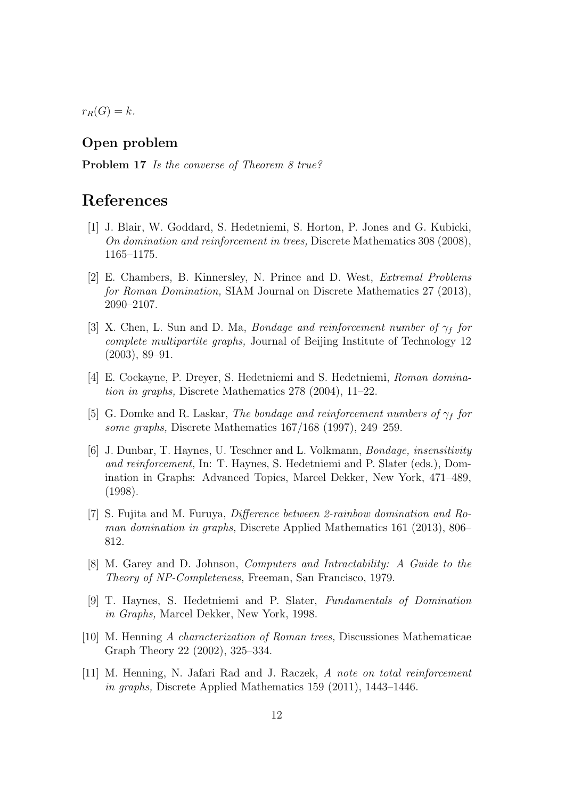$r_R(G) = k$ *.* 

### **Open problem**

**Problem 17** *Is the converse of Theorem 8 true?*

## **References**

- [1] J. Blair, W. Goddard, S. Hedetniemi, S. Horton, P. Jones and G. Kubicki, *On domination and reinforcement in trees,* Discrete Mathematics 308 (2008), 1165–1175.
- [2] E. Chambers, B. Kinnersley, N. Prince and D. West, *Extremal Problems for Roman Domination,* SIAM Journal on Discrete Mathematics 27 (2013), 2090–2107.
- [3] X. Chen, L. Sun and D. Ma, *Bondage and reinforcement number of γ<sup>f</sup> for complete multipartite graphs,* Journal of Beijing Institute of Technology 12 (2003), 89–91.
- [4] E. Cockayne, P. Dreyer, S. Hedetniemi and S. Hedetniemi, *Roman domination in graphs,* Discrete Mathematics 278 (2004), 11–22.
- [5] G. Domke and R. Laskar, *The bondage and reinforcement numbers of γ<sup>f</sup> for some graphs,* Discrete Mathematics 167/168 (1997), 249–259.
- [6] J. Dunbar, T. Haynes, U. Teschner and L. Volkmann, *Bondage, insensitivity and reinforcement,* In: T. Haynes, S. Hedetniemi and P. Slater (eds.), Domination in Graphs: Advanced Topics, Marcel Dekker, New York, 471–489, (1998).
- [7] S. Fujita and M. Furuya, *Difference between 2-rainbow domination and Roman domination in graphs,* Discrete Applied Mathematics 161 (2013), 806– 812.
- [8] M. Garey and D. Johnson, *Computers and Intractability: A Guide to the Theory of NP-Completeness,* Freeman, San Francisco, 1979.
- [9] T. Haynes, S. Hedetniemi and P. Slater, *Fundamentals of Domination in Graphs,* Marcel Dekker, New York, 1998.
- [10] M. Henning *A characterization of Roman trees,* Discussiones Mathematicae Graph Theory 22 (2002), 325–334.
- [11] M. Henning, N. Jafari Rad and J. Raczek, *A note on total reinforcement in graphs,* Discrete Applied Mathematics 159 (2011), 1443–1446.